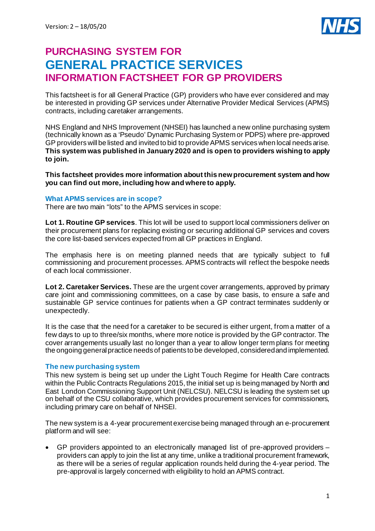

# **PURCHASING SYSTEM FOR GENERAL PRACTICE SERVICES INFORMATION FACTSHEET FOR GP PROVIDERS**

This factsheet is for all General Practice (GP) providers who have ever considered and may be interested in providing GP services under Alternative Provider Medical Services (APMS) contracts, including caretaker arrangements.

NHS England and NHS Improvement (NHSEI) has launched a new online purchasing system (technically known as a 'Pseudo' Dynamic Purchasing System or PDPS) where pre-approved GP providers will be listed and invited to bid to provide APMS services when local needs arise. **This system was published in January 2020 and is open to providers wishing to apply to join.**

**This factsheet provides more information about this new procurement system and how you can find out more, including how and where to apply.**

## **What APMS services are in scope?**

There are two main "lots" to the APMS services in scope:

**Lot 1. Routine GP services**. This lot will be used to support local commissioners deliver on their procurement plans for replacing existing or securing additional GP services and covers the core list-based services expected from all GP practices in England.

The emphasis here is on meeting planned needs that are typically subject to full commissioning and procurement processes. APMS contracts will reflect the bespoke needs of each local commissioner.

**Lot 2. Caretaker Services.** These are the urgent cover arrangements, approved by primary care joint and commissioning committees, on a case by case basis, to ensure a safe and sustainable GP service continues for patients when a GP contract terminates suddenly or unexpectedly.

It is the case that the need for a caretaker to be secured is either urgent, from a matter of a few days to up to three/six months, where more notice is provided by the GP contractor. The cover arrangements usually last no longer than a year to allow longer term plans for meeting the ongoing general practice needs of patients to be developed, considered and implemented.

# **The new purchasing system**

This new system is being set up under the Light Touch Regime for Health Care contracts within the Public Contracts Regulations 2015, the initial set up is being managed by North and East London Commissioning Support Unit (NELCSU). NELCSU is leading the system set up on behalf of the CSU collaborative, which provides procurement services for commissioners, including primary care on behalf of NHSEI.

The new system is a 4-year procurement exercise being managed through an e-procurement platform and will see:

• GP providers appointed to an electronically managed list of pre-approved providers – providers can apply to join the list at any time, unlike a traditional procurement framework, as there will be a series of regular application rounds held during the 4-year period. The pre-approval is largely concerned with eligibility to hold an APMS contract.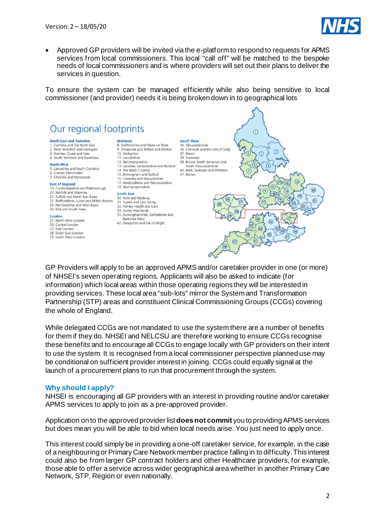

• Approved GP providers will be invited via the e-platform to respond to requests for APMS services from local commissioners. This local "call off" will be matched to the bespoke needs of local commissioners and is where providers will set out their plans to deliver the services in question.

To ensure the system can be managed efficiently while also being sensitive to local commissioner (and provider) needs it is being broken down in to geographical lots



GP Providers will apply to be an approved APMS and/or caretaker provider in one (or more) of NHSEI's seven operating regions. Applicants will also be asked to indicate (for information) which local areas within those operating regions they will be interested in providing services. These local area "sub-lots" mirror the System and Transformation Partnership (STP) areas and constituent Clinical Commissioning Groups (CCGs) covering the whole of England.

While delegated CCGs are not mandated to use the system there are a number of benefits for them if they do. NHSEI and NELCSU are therefore working to ensure CCGs recognise these benefits and to encourage all CCGs to engage locally with GP providers on their intent to use the system. It is recognised from a local commissioner perspective planned use may be conditional on sufficient provider interest in joining. CCGs could equally signal at the launch of a procurement plans to run that procurement through the system.

#### **Why should I apply?**

NHSEI is encouraging all GP providers with an interest in providing routine and/or caretaker APMS services to apply to join as a pre-approved provider.

Application on to the approved provider list **does not commit** you to providing APMS services but does mean you will be able to bid when local needs arise. You just need to apply once.

This interest could simply be in providing a one-off caretaker service, for example, in the case of a neighbouring or Primary Care Network member practice falling in to difficulty. This interest could also be from larger GP contract holders and other Healthcare providers, for example, those able to offer a service across wider geographical area whether in another Primary Care Network, STP, Region or even nationally.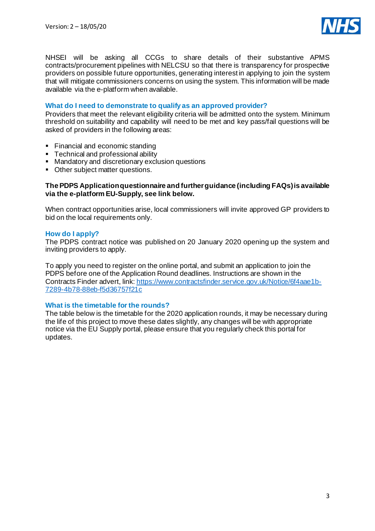

NHSEI will be asking all CCGs to share details of their substantive APMS contracts/procurement pipelines with NELCSU so that there is transparency for prospective providers on possible future opportunities, generating interest in applying to join the system that will mitigate commissioners concerns on using the system. This information will be made available via the e-platform when available.

# **What do I need to demonstrate to qualify as an approved provider?**

Providers that meet the relevant eligibility criteria will be admitted onto the system. Minimum threshold on suitability and capability will need to be met and key pass/fail questions will be asked of providers in the following areas:

- Financial and economic standing
- Technical and professional ability
- **Mandatory and discretionary exclusion questions**
- Other subject matter questions.

### **The PDPS Application questionnaire and further guidance (including FAQs) is available via the e-platform EU-Supply, see link below.**

When contract opportunities arise, local commissioners will invite approved GP providers to bid on the local requirements only.

## **How do I apply?**

The PDPS contract notice was published on 20 January 2020 opening up the system and inviting providers to apply.

To apply you need to register on the online portal, and submit an application to join the PDPS before one of the Application Round deadlines. Instructions are shown in the Contracts Finder advert, link[: https://www.contractsfinder.service.gov.uk/Notice/6f4aae1b-](https://www.contractsfinder.service.gov.uk/Notice/6f4aae1b-7289-4b78-88eb-f5d36757f21c)[7289-4b78-88eb-f5d36757f21c](https://www.contractsfinder.service.gov.uk/Notice/6f4aae1b-7289-4b78-88eb-f5d36757f21c)

#### **What is the timetable for the rounds?**

The table below is the timetable for the 2020 application rounds, it may be necessary during the life of this project to move these dates slightly, any changes will be with appropriate notice via the EU Supply portal, please ensure that you regularly check this portal for updates.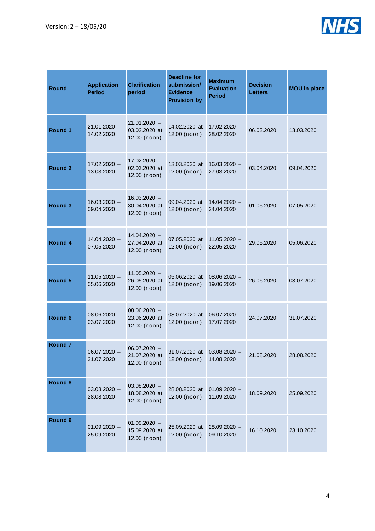

| <b>Round</b>       | <b>Application</b><br><b>Period</b> | <b>Clarification</b><br>period                  | Deadline for<br>submission/<br><b>Evidence</b><br><b>Provision by</b> | <b>Maximum</b><br><b>Evaluation</b><br><b>Period</b> | <b>Decision</b><br><b>Letters</b> | <b>MOU</b> in place |
|--------------------|-------------------------------------|-------------------------------------------------|-----------------------------------------------------------------------|------------------------------------------------------|-----------------------------------|---------------------|
| Round 1            | $21.01.2020 -$<br>14.02.2020        | $21.01.2020 -$<br>03.02.2020 at<br>12.00 (noon) | 14.02.2020 at<br>12.00 (noon)                                         | $17.02.2020 -$<br>28.02.2020                         | 06.03.2020                        | 13.03.2020          |
| Round 2            | $17.02.2020 -$<br>13.03.2020        | $17.02.2020 -$<br>02.03.2020 at<br>12.00 (noon) | 13.03.2020 at<br>12.00 (noon)                                         | $16.03.2020 -$<br>27.03.2020                         | 03.04.2020                        | 09.04.2020          |
| Round 3            | $16.03.2020 -$<br>09.04.2020        | $16.03.2020 -$<br>30.04.2020 at<br>12.00 (noon) | 09.04.2020 at<br>12.00 (noon)                                         | $14.04.2020 -$<br>24.04.2020                         | 01.05.2020                        | 07.05.2020          |
| <b>Round 4</b>     | $14.04.2020 -$<br>07.05.2020        | $14.04.2020 -$<br>27.04.2020 at<br>12.00 (noon) | 07.05.2020 at<br>12.00 (noon)                                         | $11.05.2020 -$<br>22.05.2020                         | 29.05.2020                        | 05.06.2020          |
| Round 5            | $11.05.2020 -$<br>05.06.2020        | $11.05.2020 -$<br>26.05.2020 at<br>12.00 (noon) | 05.06.2020 at<br>12.00 (noon)                                         | $08.06.2020 -$<br>19.06.2020                         | 26.06.2020                        | 03.07.2020          |
| Round 6            | $08.06.2020 -$<br>03.07.2020        | $08.06.2020 -$<br>23.06.2020 at<br>12.00 (noon) | 03.07.2020 at<br>12.00 (noon)                                         | $06.07.2020 -$<br>17.07.2020                         | 24.07.2020                        | 31.07.2020          |
| Round <sub>7</sub> | 06.07.2020 -<br>31.07.2020          | $06.07.2020 -$<br>21.07.2020 at<br>12.00 (noon) | 31.07.2020 at<br>12.00 (noon)                                         | 03.08.2020<br>14.08.2020                             | 21.08.2020                        | 28.08.2020          |
| <b>Round 8</b>     | $03.08.2020 -$<br>28.08.2020        | $03.08.2020 -$<br>18.08.2020 at<br>12.00 (noon) | 28.08.2020 at<br>12.00 (noon)                                         | $01.09.2020 -$<br>11.09.2020                         | 18.09.2020                        | 25.09.2020          |
| <b>Round 9</b>     | $01.09.2020 -$<br>25.09.2020        | $01.09.2020 -$<br>15.09.2020 at<br>12.00 (noon) | 25.09.2020 at<br>12.00 (noon)                                         | $28.09.2020 -$<br>09.10.2020                         | 16.10.2020                        | 23.10.2020          |